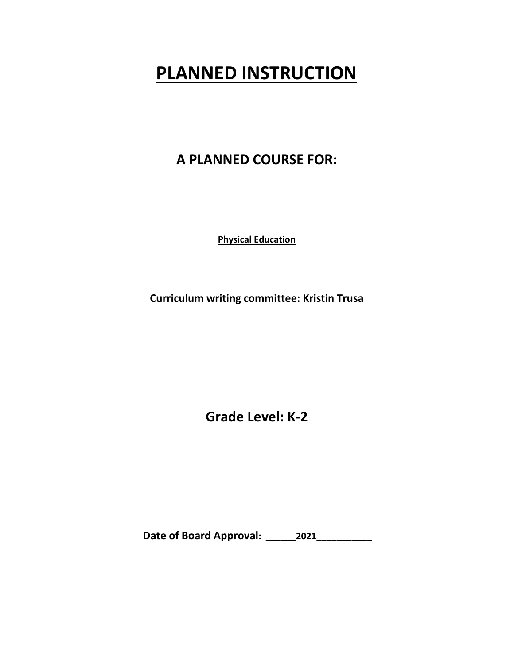# **PLANNED INSTRUCTION**

### **A PLANNED COURSE FOR:**

**Physical Education**

**Curriculum writing committee: Kristin Trusa**

**Grade Level: K-2**

**Date of Board Approval: \_\_\_\_\_\_2021\_\_\_\_\_\_\_\_\_\_\_**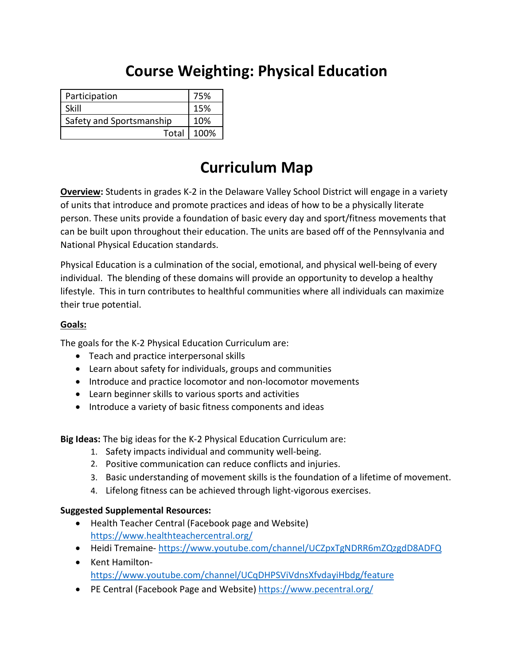## **Course Weighting: Physical Education**

| Participation            | 75%  |
|--------------------------|------|
| Skill                    | 15%  |
| Safety and Sportsmanship | 10%  |
| Total                    | 100% |

## **Curriculum Map**

**Overview:** Students in grades K-2 in the Delaware Valley School District will engage in a variety of units that introduce and promote practices and ideas of how to be a physically literate person. These units provide a foundation of basic every day and sport/fitness movements that can be built upon throughout their education. The units are based off of the Pennsylvania and National Physical Education standards.

Physical Education is a culmination of the social, emotional, and physical well-being of every individual. The blending of these domains will provide an opportunity to develop a healthy lifestyle. This in turn contributes to healthful communities where all individuals can maximize their true potential.

#### **Goals:**

The goals for the K-2 Physical Education Curriculum are:

- Teach and practice interpersonal skills
- Learn about safety for individuals, groups and communities
- Introduce and practice locomotor and non-locomotor movements
- Learn beginner skills to various sports and activities
- Introduce a variety of basic fitness components and ideas

**Big Ideas:** The big ideas for the K-2 Physical Education Curriculum are:

- 1. Safety impacts individual and community well-being.
- 2. Positive communication can reduce conflicts and injuries.
- 3. Basic understanding of movement skills is the foundation of a lifetime of movement.
- 4. Lifelong fitness can be achieved through light-vigorous exercises.

### **Suggested Supplemental Resources:**

- Health Teacher Central (Facebook page and Website) <https://www.healthteachercentral.org/>
- Heidi Tremaine- <https://www.youtube.com/channel/UCZpxTgNDRR6mZQzgdD8ADFQ>
- Kent Hamilton<https://www.youtube.com/channel/UCqDHPSViVdnsXfvdayiHbdg/feature>
- PE Central (Facebook Page and Website)<https://www.pecentral.org/>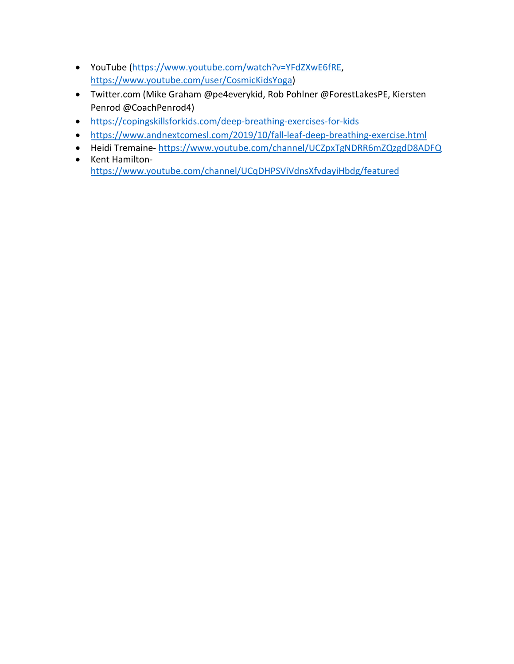- YouTube [\(https://www.youtube.com/watch?v=YFdZXwE6fRE,](https://www.youtube.com/watch?v=YFdZXwE6fRE) [https://www.youtube.com/user/CosmicKidsYoga\)](https://www.youtube.com/user/CosmicKidsYoga)
- Twitter.com (Mike Graham @pe4everykid, Rob Pohlner @ForestLakesPE, Kiersten Penrod @CoachPenrod4)
- <https://copingskillsforkids.com/deep-breathing-exercises-for-kids>
- <https://www.andnextcomesl.com/2019/10/fall-leaf-deep-breathing-exercise.html>
- Heidi Tremaine- <https://www.youtube.com/channel/UCZpxTgNDRR6mZQzgdD8ADFQ>
- Kent Hamilton<https://www.youtube.com/channel/UCqDHPSViVdnsXfvdayiHbdg/featured>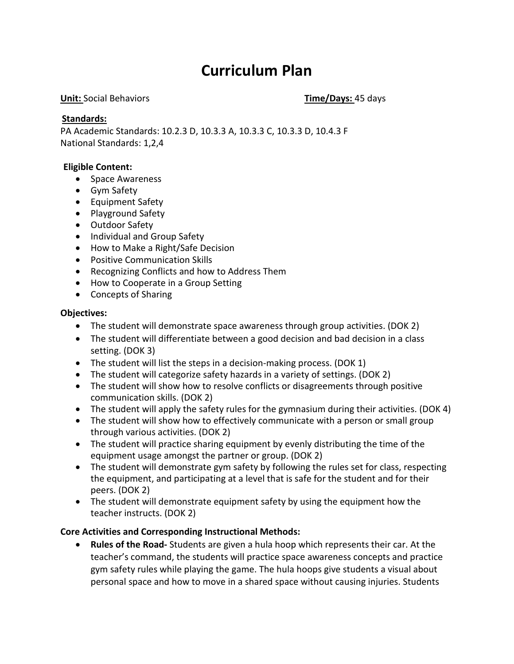## **Curriculum Plan**

#### **Unit:** Social Behaviors **Time/Days:** 45 days

#### **Standards:**

PA Academic Standards: 10.2.3 D, 10.3.3 A, 10.3.3 C, 10.3.3 D, 10.4.3 F National Standards: 1,2,4

#### **Eligible Content:**

- Space Awareness
- Gym Safety
- Equipment Safety
- Playground Safety
- Outdoor Safety
- Individual and Group Safety
- How to Make a Right/Safe Decision
- Positive Communication Skills
- Recognizing Conflicts and how to Address Them
- How to Cooperate in a Group Setting
- Concepts of Sharing

#### **Objectives:**

- The student will demonstrate space awareness through group activities. (DOK 2)
- The student will differentiate between a good decision and bad decision in a class setting. (DOK 3)
- The student will list the steps in a decision-making process. (DOK 1)
- The student will categorize safety hazards in a variety of settings. (DOK 2)
- The student will show how to resolve conflicts or disagreements through positive communication skills. (DOK 2)
- The student will apply the safety rules for the gymnasium during their activities. (DOK 4)
- The student will show how to effectively communicate with a person or small group through various activities. (DOK 2)
- The student will practice sharing equipment by evenly distributing the time of the equipment usage amongst the partner or group. (DOK 2)
- The student will demonstrate gym safety by following the rules set for class, respecting the equipment, and participating at a level that is safe for the student and for their peers. (DOK 2)
- The student will demonstrate equipment safety by using the equipment how the teacher instructs. (DOK 2)

#### **Core Activities and Corresponding Instructional Methods:**

• **Rules of the Road-** Students are given a hula hoop which represents their car. At the teacher's command, the students will practice space awareness concepts and practice gym safety rules while playing the game. The hula hoops give students a visual about personal space and how to move in a shared space without causing injuries. Students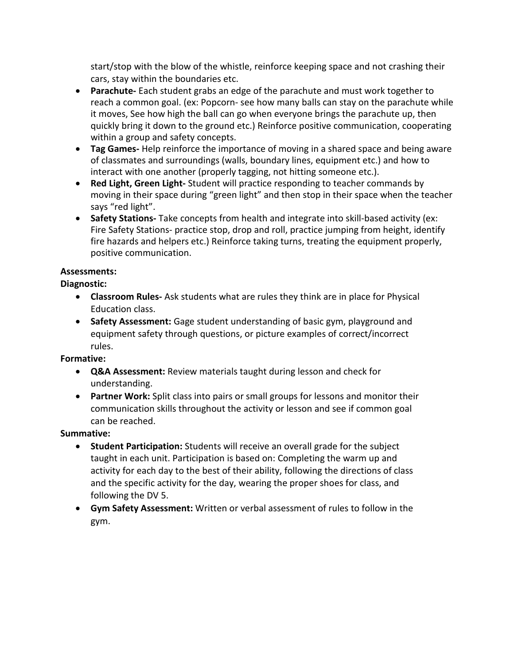start/stop with the blow of the whistle, reinforce keeping space and not crashing their cars, stay within the boundaries etc.

- **Parachute-** Each student grabs an edge of the parachute and must work together to reach a common goal. (ex: Popcorn- see how many balls can stay on the parachute while it moves, See how high the ball can go when everyone brings the parachute up, then quickly bring it down to the ground etc.) Reinforce positive communication, cooperating within a group and safety concepts.
- **Tag Games-** Help reinforce the importance of moving in a shared space and being aware of classmates and surroundings (walls, boundary lines, equipment etc.) and how to interact with one another (properly tagging, not hitting someone etc.).
- **Red Light, Green Light-** Student will practice responding to teacher commands by moving in their space during "green light" and then stop in their space when the teacher says "red light".
- **Safety Stations-** Take concepts from health and integrate into skill-based activity (ex: Fire Safety Stations- practice stop, drop and roll, practice jumping from height, identify fire hazards and helpers etc.) Reinforce taking turns, treating the equipment properly, positive communication.

### **Assessments:**

### **Diagnostic:**

- **Classroom Rules-** Ask students what are rules they think are in place for Physical Education class.
- **Safety Assessment:** Gage student understanding of basic gym, playground and equipment safety through questions, or picture examples of correct/incorrect rules.

### **Formative:**

- **Q&A Assessment:** Review materials taught during lesson and check for understanding.
- **Partner Work:** Split class into pairs or small groups for lessons and monitor their communication skills throughout the activity or lesson and see if common goal can be reached.

### **Summative:**

- **Student Participation:** Students will receive an overall grade for the subject taught in each unit. Participation is based on: Completing the warm up and activity for each day to the best of their ability, following the directions of class and the specific activity for the day, wearing the proper shoes for class, and following the DV 5.
- **Gym Safety Assessment:** Written or verbal assessment of rules to follow in the gym.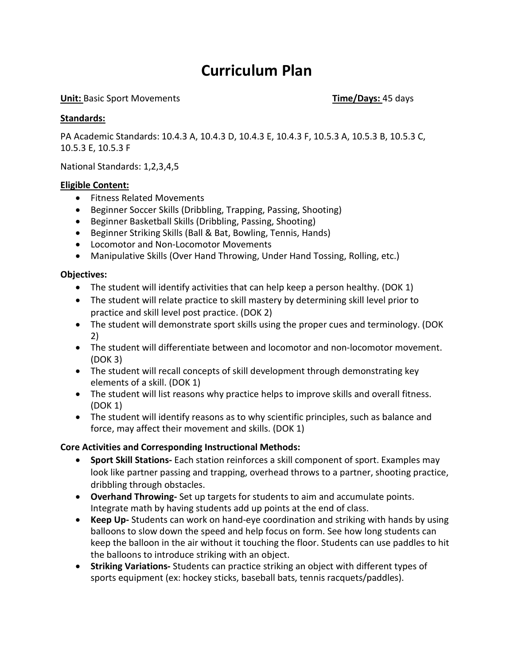## **Curriculum Plan**

#### **Unit:** Basic Sport Movements **Time/Days:** 45 days

#### **Standards:**

PA Academic Standards: 10.4.3 A, 10.4.3 D, 10.4.3 E, 10.4.3 F, 10.5.3 A, 10.5.3 B, 10.5.3 C, 10.5.3 E, 10.5.3 F

National Standards: 1,2,3,4,5

#### **Eligible Content:**

- Fitness Related Movements
- Beginner Soccer Skills (Dribbling, Trapping, Passing, Shooting)
- Beginner Basketball Skills (Dribbling, Passing, Shooting)
- Beginner Striking Skills (Ball & Bat, Bowling, Tennis, Hands)
- Locomotor and Non-Locomotor Movements
- Manipulative Skills (Over Hand Throwing, Under Hand Tossing, Rolling, etc.)

#### **Objectives:**

- The student will identify activities that can help keep a person healthy. (DOK 1)
- The student will relate practice to skill mastery by determining skill level prior to practice and skill level post practice. (DOK 2)
- The student will demonstrate sport skills using the proper cues and terminology. (DOK 2)
- The student will differentiate between and locomotor and non-locomotor movement. (DOK 3)
- The student will recall concepts of skill development through demonstrating key elements of a skill. (DOK 1)
- The student will list reasons why practice helps to improve skills and overall fitness. (DOK 1)
- The student will identify reasons as to why scientific principles, such as balance and force, may affect their movement and skills. (DOK 1)

#### **Core Activities and Corresponding Instructional Methods:**

- **Sport Skill Stations-** Each station reinforces a skill component of sport. Examples may look like partner passing and trapping, overhead throws to a partner, shooting practice, dribbling through obstacles.
- **Overhand Throwing-** Set up targets for students to aim and accumulate points. Integrate math by having students add up points at the end of class.
- **Keep Up-** Students can work on hand-eye coordination and striking with hands by using balloons to slow down the speed and help focus on form. See how long students can keep the balloon in the air without it touching the floor. Students can use paddles to hit the balloons to introduce striking with an object.
- **Striking Variations-** Students can practice striking an object with different types of sports equipment (ex: hockey sticks, baseball bats, tennis racquets/paddles).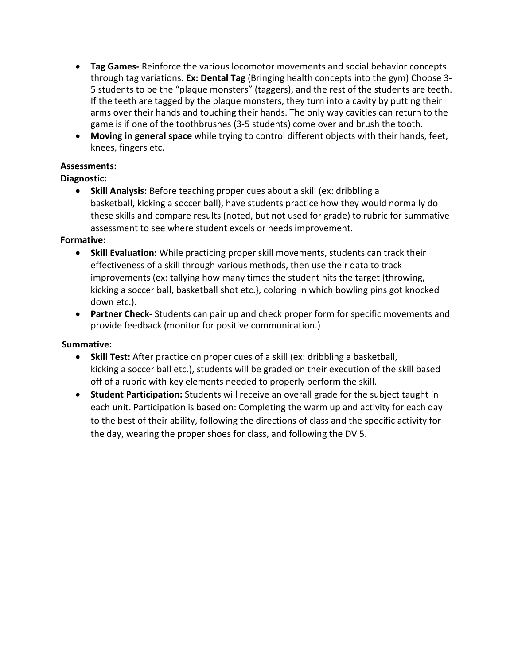- **Tag Games-** Reinforce the various locomotor movements and social behavior concepts through tag variations. **Ex: Dental Tag** (Bringing health concepts into the gym) Choose 3- 5 students to be the "plaque monsters" (taggers), and the rest of the students are teeth. If the teeth are tagged by the plaque monsters, they turn into a cavity by putting their arms over their hands and touching their hands. The only way cavities can return to the game is if one of the toothbrushes (3-5 students) come over and brush the tooth.
- **Moving in general space** while trying to control different objects with their hands, feet, knees, fingers etc.

#### **Assessments:**

#### **Diagnostic:**

• **Skill Analysis:** Before teaching proper cues about a skill (ex: dribbling a basketball, kicking a soccer ball), have students practice how they would normally do these skills and compare results (noted, but not used for grade) to rubric for summative assessment to see where student excels or needs improvement.

#### **Formative:**

- **Skill Evaluation:** While practicing proper skill movements, students can track their effectiveness of a skill through various methods, then use their data to track improvements (ex: tallying how many times the student hits the target {throwing, kicking a soccer ball, basketball shot etc.}, coloring in which bowling pins got knocked down etc.).
- **Partner Check-** Students can pair up and check proper form for specific movements and provide feedback (monitor for positive communication.)

#### **Summative:**

- **Skill Test:** After practice on proper cues of a skill (ex: dribbling a basketball, kicking a soccer ball etc.), students will be graded on their execution of the skill based off of a rubric with key elements needed to properly perform the skill.
- **Student Participation:** Students will receive an overall grade for the subject taught in each unit. Participation is based on: Completing the warm up and activity for each day to the best of their ability, following the directions of class and the specific activity for the day, wearing the proper shoes for class, and following the DV 5.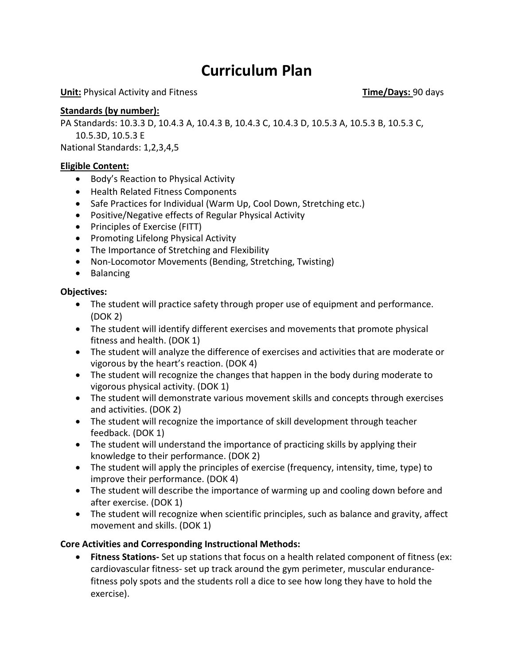## **Curriculum Plan**

**Unit:** Physical Activity and Fitness **Time/Days:** 90 days

#### **Standards (by number):**

PA Standards: 10.3.3 D, 10.4.3 A, 10.4.3 B, 10.4.3 C, 10.4.3 D, 10.5.3 A, 10.5.3 B, 10.5.3 C, 10.5.3D, 10.5.3 E

National Standards: 1,2,3,4,5

#### **Eligible Content:**

- Body's Reaction to Physical Activity
- Health Related Fitness Components
- Safe Practices for Individual (Warm Up, Cool Down, Stretching etc.)
- Positive/Negative effects of Regular Physical Activity
- Principles of Exercise (FITT)
- Promoting Lifelong Physical Activity
- The Importance of Stretching and Flexibility
- Non-Locomotor Movements (Bending, Stretching, Twisting)
- Balancing

#### **Objectives:**

- The student will practice safety through proper use of equipment and performance. (DOK 2)
- The student will identify different exercises and movements that promote physical fitness and health. (DOK 1)
- The student will analyze the difference of exercises and activities that are moderate or vigorous by the heart's reaction. (DOK 4)
- The student will recognize the changes that happen in the body during moderate to vigorous physical activity. (DOK 1)
- The student will demonstrate various movement skills and concepts through exercises and activities. (DOK 2)
- The student will recognize the importance of skill development through teacher feedback. (DOK 1)
- The student will understand the importance of practicing skills by applying their knowledge to their performance. (DOK 2)
- The student will apply the principles of exercise (frequency, intensity, time, type) to improve their performance. (DOK 4)
- The student will describe the importance of warming up and cooling down before and after exercise. (DOK 1)
- The student will recognize when scientific principles, such as balance and gravity, affect movement and skills. (DOK 1)

#### **Core Activities and Corresponding Instructional Methods:**

• **Fitness Stations-** Set up stations that focus on a health related component of fitness (ex: cardiovascular fitness- set up track around the gym perimeter, muscular endurancefitness poly spots and the students roll a dice to see how long they have to hold the exercise).